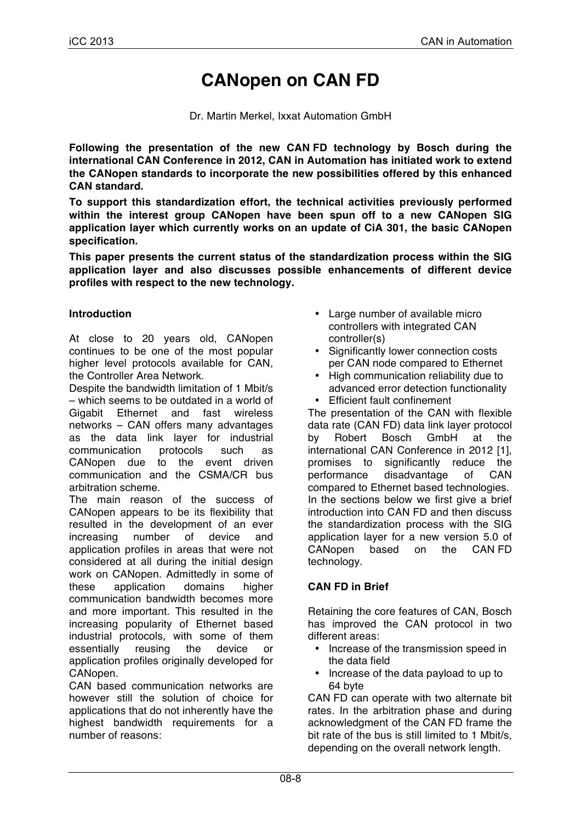# **CANopen on CAN FD**

Dr. Martin Merkel, Ixxat Automation GmbH

**Following the presentation of the new CAN FD technology by Bosch during the international CAN Conference in 2012, CAN in Automation has initiated work to extend the CANopen standards to incorporate the new possibilities offered by this enhanced CAN standard.**

**To support this standardization effort, the technical activities previously performed within the interest group CANopen have been spun off to a new CANopen SIG application layer which currently works on an update of CiA 301, the basic CANopen specification.**

**This paper presents the current status of the standardization process within the SIG application layer and also discusses possible enhancements of different device profiles with respect to the new technology.**

#### **Introduction**

At close to 20 years old, CANopen continues to be one of the most popular higher level protocols available for CAN, the Controller Area Network.

Despite the bandwidth limitation of 1 Mbit/s – which seems to be outdated in a world of Gigabit Ethernet and fast wireless networks – CAN offers many advantages as the data link layer for industrial communication protocols such as CANopen due to the event driven communication and the CSMA/CR bus arbitration scheme.

The main reason of the success of CANopen appears to be its flexibility that resulted in the development of an ever increasing number of device and application profiles in areas that were not considered at all during the initial design work on CANopen. Admittedly in some of these application domains higher communication bandwidth becomes more and more important. This resulted in the increasing popularity of Ethernet based industrial protocols, with some of them essentially reusing the device or application profiles originally developed for CANopen.

CAN based communication networks are however still the solution of choice for applications that do not inherently have the highest bandwidth requirements for a number of reasons:

- Large number of available micro controllers with integrated CAN controller(s)
- Significantly lower connection costs per CAN node compared to Ethernet
- High communication reliability due to advanced error detection functionality
- Efficient fault confinement

The presentation of the CAN with flexible data rate (CAN FD) data link layer protocol by Robert Bosch GmbH at the international CAN Conference in 2012 [1], promises to significantly reduce the performance disadvantage of CAN compared to Ethernet based technologies. In the sections below we first give a brief introduction into CAN FD and then discuss the standardization process with the SIG application layer for a new version 5.0 of CANopen based on the CAN FD technology.

## **CAN FD in Brief**

Retaining the core features of CAN, Bosch has improved the CAN protocol in two different areas:

- Increase of the transmission speed in the data field
- Increase of the data payload to up to 64 byte

CAN FD can operate with two alternate bit rates. In the arbitration phase and during acknowledgment of the CAN FD frame the bit rate of the bus is still limited to 1 Mbit/s, depending on the overall network length.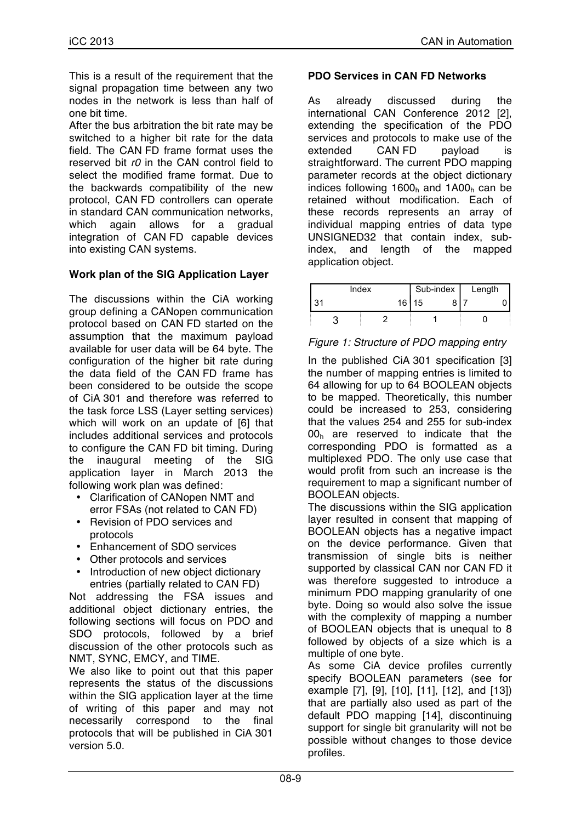This is a result of the requirement that the signal propagation time between any two nodes in the network is less than half of one bit time.

After the bus arbitration the bit rate may be switched to a higher bit rate for the data field. The CAN FD frame format uses the reserved bit *r0* in the CAN control field to select the modified frame format. Due to the backwards compatibility of the new protocol, CAN FD controllers can operate in standard CAN communication networks, which again allows for a gradual integration of CAN FD capable devices into existing CAN systems.

## **Work plan of the SIG Application Layer**

The discussions within the CiA working group defining a CANopen communication protocol based on CAN FD started on the assumption that the maximum payload available for user data will be 64 byte. The configuration of the higher bit rate during the data field of the CAN FD frame has been considered to be outside the scope of CiA 301 and therefore was referred to the task force LSS (Layer setting services) which will work on an update of [6] that includes additional services and protocols to configure the CAN FD bit timing. During the inaugural meeting of the SIG application layer in March 2013 the following work plan was defined:

- Clarification of CANopen NMT and error FSAs (not related to CAN FD)
- Revision of PDO services and protocols
- Enhancement of SDO services
- Other protocols and services
- Introduction of new object dictionary entries (partially related to CAN FD)

Not addressing the FSA issues and additional object dictionary entries, the following sections will focus on PDO and SDO protocols, followed by a brief discussion of the other protocols such as NMT, SYNC, EMCY, and TIME.

We also like to point out that this paper represents the status of the discussions within the SIG application layer at the time of writing of this paper and may not necessarily correspond to the final protocols that will be published in CiA 301 version 5.0.

### **PDO Services in CAN FD Networks**

As already discussed during the international CAN Conference 2012 [2], extending the specification of the PDO services and protocols to make use of the extended CAN FD payload is straightforward. The current PDO mapping parameter records at the object dictionary indices following  $1600<sub>h</sub>$  and  $1A00<sub>h</sub>$  can be retained without modification. Each of these records represents an array of individual mapping entries of data type UNSIGNED32 that contain index, subindex, and length of the mapped application object.

|    | Index |  |       | Sub-index   Length |  |
|----|-------|--|-------|--------------------|--|
| 31 |       |  | 16 15 |                    |  |
|    |       |  |       |                    |  |

#### *Figure 1: Structure of PDO mapping entry*

In the published CiA 301 specification [3] the number of mapping entries is limited to 64 allowing for up to 64 BOOLEAN objects to be mapped. Theoretically, this number could be increased to 253, considering that the values 254 and 255 for sub-index  $00<sub>h</sub>$  are reserved to indicate that the corresponding PDO is formatted as a multiplexed PDO. The only use case that would profit from such an increase is the requirement to map a significant number of BOOLEAN objects.

The discussions within the SIG application layer resulted in consent that mapping of BOOLEAN objects has a negative impact on the device performance. Given that transmission of single bits is neither supported by classical CAN nor CAN FD it was therefore suggested to introduce a minimum PDO mapping granularity of one byte. Doing so would also solve the issue with the complexity of mapping a number of BOOLEAN objects that is unequal to 8 followed by objects of a size which is a multiple of one byte.

As some CiA device profiles currently specify BOOLEAN parameters (see for example [7], [9], [10], [11], [12], and [13]) that are partially also used as part of the default PDO mapping [14], discontinuing support for single bit granularity will not be possible without changes to those device profiles.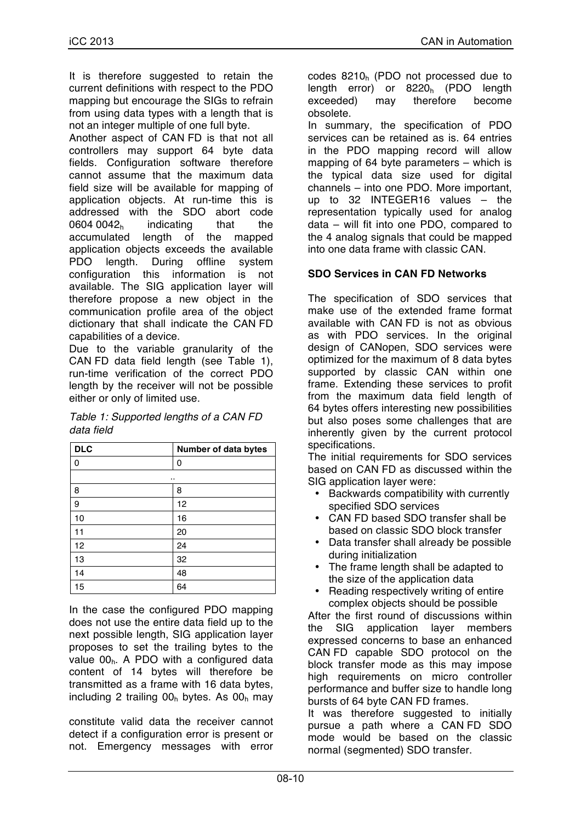It is therefore suggested to retain the current definitions with respect to the PDO mapping but encourage the SIGs to refrain from using data types with a length that is not an integer multiple of one full byte.

Another aspect of CAN FD is that not all controllers may support 64 byte data fields. Configuration software therefore cannot assume that the maximum data field size will be available for mapping of application objects. At run-time this is addressed with the SDO abort code 0604 0042h indicating that the accumulated length of the mapped application objects exceeds the available PDO length. During offline system configuration this information is not available. The SIG application layer will therefore propose a new object in the communication profile area of the object dictionary that shall indicate the CAN FD capabilities of a device.

Due to the variable granularity of the CAN FD data field length (see Table 1), run-time verification of the correct PDO length by the receiver will not be possible either or only of limited use.

| <b>DLC</b> | Number of data bytes |
|------------|----------------------|
| 0          | 0                    |
|            | . .                  |
| 8          | 8                    |
| 9          | 12                   |
| 10         | 16                   |
| 11         | 20                   |
| 12         | 24                   |
| 13         | 32                   |
| 14         | 48                   |
| 15         | 64                   |

*Table 1: Supported lengths of a CAN FD data field*

In the case the configured PDO mapping does not use the entire data field up to the next possible length, SIG application layer proposes to set the trailing bytes to the value 00h. A PDO with a configured data content of 14 bytes will therefore be transmitted as a frame with 16 data bytes, including 2 trailing  $00<sub>h</sub>$  bytes. As  $00<sub>h</sub>$  may

constitute valid data the receiver cannot detect if a configuration error is present or not. Emergency messages with error

codes  $8210<sub>h</sub>$  (PDO not processed due to length error) or  $8220<sub>h</sub>$  (PDO length exceeded) may therefore become obsolete.

In summary, the specification of PDO services can be retained as is. 64 entries in the PDO mapping record will allow mapping of 64 byte parameters – which is the typical data size used for digital channels – into one PDO. More important, up to 32 INTEGER16 values – the representation typically used for analog data – will fit into one PDO, compared to the 4 analog signals that could be mapped into one data frame with classic CAN.

## **SDO Services in CAN FD Networks**

The specification of SDO services that make use of the extended frame format available with CAN FD is not as obvious as with PDO services. In the original design of CANopen, SDO services were optimized for the maximum of 8 data bytes supported by classic CAN within one frame. Extending these services to profit from the maximum data field length of 64 bytes offers interesting new possibilities but also poses some challenges that are inherently given by the current protocol specifications.

The initial requirements for SDO services based on CAN FD as discussed within the SIG application layer were:

- Backwards compatibility with currently specified SDO services
- CAN FD based SDO transfer shall be based on classic SDO block transfer
- Data transfer shall already be possible during initialization
- The frame length shall be adapted to the size of the application data
- Reading respectively writing of entire complex objects should be possible

After the first round of discussions within the SIG application layer members expressed concerns to base an enhanced CAN FD capable SDO protocol on the block transfer mode as this may impose high requirements on micro controller performance and buffer size to handle long bursts of 64 byte CAN FD frames.

It was therefore suggested to initially pursue a path where a CAN FD SDO mode would be based on the classic normal (segmented) SDO transfer.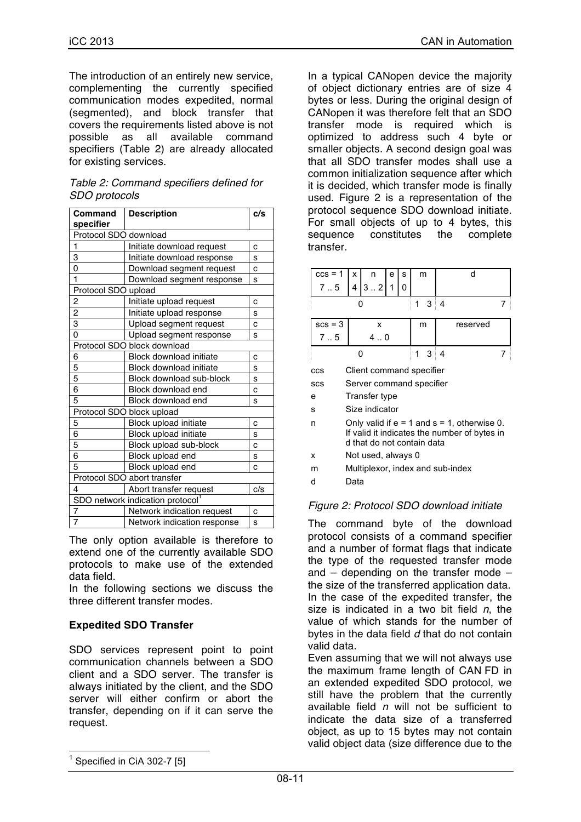The introduction of an entirely new service, complementing the currently specified communication modes expedited, normal (segmented), and block transfer that covers the requirements listed above is not possible as all available command specifiers (Table 2) are already allocated for existing services.

| Table 2: Command specifiers defined for |  |
|-----------------------------------------|--|
| SDO protocols                           |  |

| Command                     | <b>Description</b>              | c/s |  |  |  |  |
|-----------------------------|---------------------------------|-----|--|--|--|--|
| specifier                   |                                 |     |  |  |  |  |
| Protocol SDO download       |                                 |     |  |  |  |  |
| 1                           | Initiate download request       | C   |  |  |  |  |
| 3                           | Initiate download response<br>S |     |  |  |  |  |
| 0                           | Download segment request<br>C   |     |  |  |  |  |
| $\mathbf{1}$                | Download segment response       | s   |  |  |  |  |
| Protocol SDO upload         |                                 |     |  |  |  |  |
| $\overline{\mathbf{c}}$     | Initiate upload request         | C   |  |  |  |  |
| $\overline{\mathbf{c}}$     | Initiate upload response        | S   |  |  |  |  |
| 3                           | Upload segment request          | C   |  |  |  |  |
| 0                           | Upload segment response         | S   |  |  |  |  |
| Protocol SDO block download |                                 |     |  |  |  |  |
| 6                           | <b>Block download initiate</b>  | C   |  |  |  |  |
| 5                           | <b>Block download initiate</b>  | S   |  |  |  |  |
| 5                           | Block download sub-block        | s   |  |  |  |  |
| 6                           | Block download end              | C   |  |  |  |  |
| 5                           | Block download end              | S   |  |  |  |  |
|                             | Protocol SDO block upload       |     |  |  |  |  |
| 5                           | Block upload initiate           | C   |  |  |  |  |
| 6                           | Block upload initiate           | S   |  |  |  |  |
| 5                           | Block upload sub-block          | C   |  |  |  |  |
| 6                           | Block upload end                | s   |  |  |  |  |
| $\overline{5}$              | Block upload end                | Ċ   |  |  |  |  |
|                             | Protocol SDO abort transfer     |     |  |  |  |  |
| 4                           | Abort transfer request          | c/s |  |  |  |  |
|                             | SDO network indication protocol |     |  |  |  |  |
| $\overline{7}$              | Network indication request      | C   |  |  |  |  |
| $\overline{7}$              | Network indication response     | S   |  |  |  |  |

The only option available is therefore to extend one of the currently available SDO protocols to make use of the extended data field.

In the following sections we discuss the three different transfer modes.

## **Expedited SDO Transfer**

SDO services represent point to point communication channels between a SDO client and a SDO server. The transfer is always initiated by the client, and the SDO server will either confirm or abort the transfer, depending on if it can serve the request.

In a typical CANopen device the majority of object dictionary entries are of size 4 bytes or less. During the original design of CANopen it was therefore felt that an SDO transfer mode is required which is optimized to address such 4 byte or smaller objects. A second design goal was that all SDO transfer modes shall use a common initialization sequence after which it is decided, which transfer mode is finally used. Figure 2 is a representation of the protocol sequence SDO download initiate. For small objects of up to 4 bytes, this sequence constitutes the complete transfer.

| $ccs = 1$  | x                                                                                                                              | n                        | e | S | m          |  |            |          |  |
|------------|--------------------------------------------------------------------------------------------------------------------------------|--------------------------|---|---|------------|--|------------|----------|--|
| 7.5        | 4                                                                                                                              | 32                       | 1 | ი |            |  |            |          |  |
|            | O                                                                                                                              |                          |   |   |            |  | $3 \mid 4$ |          |  |
| $scs = 3$  |                                                                                                                                | x                        |   |   | m          |  |            | reserved |  |
| 7.5        |                                                                                                                                | $4 \dots 0$              |   |   |            |  |            |          |  |
| O          |                                                                                                                                |                          |   | 1 | $3 \mid 4$ |  |            |          |  |
| CCS        | Client command specifier                                                                                                       |                          |   |   |            |  |            |          |  |
| <b>SCS</b> |                                                                                                                                | Server command specifier |   |   |            |  |            |          |  |
| e          |                                                                                                                                | Transfer type            |   |   |            |  |            |          |  |
| s          |                                                                                                                                | Size indicator           |   |   |            |  |            |          |  |
| n          | Only valid if $e = 1$ and $s = 1$ , otherwise 0.<br>If valid it indicates the number of bytes in<br>d that do not contain data |                          |   |   |            |  |            |          |  |
| x          | Not used, always 0                                                                                                             |                          |   |   |            |  |            |          |  |
| m          | Multiplexor, index and sub-index                                                                                               |                          |   |   |            |  |            |          |  |
| d          | Data                                                                                                                           |                          |   |   |            |  |            |          |  |

#### *Figure 2: Protocol SDO download initiate*

The command byte of the download protocol consists of a command specifier and a number of format flags that indicate the type of the requested transfer mode and – depending on the transfer mode – the size of the transferred application data. In the case of the expedited transfer, the size is indicated in a two bit field *n*, the value of which stands for the number of bytes in the data field *d* that do not contain valid data.

Even assuming that we will not always use the maximum frame length of CAN FD in an extended expedited SDO protocol, we still have the problem that the currently available field *n* will not be sufficient to indicate the data size of a transferred object, as up to 15 bytes may not contain valid object data (size difference due to the

 $1$  Specified in CiA 302-7 [5]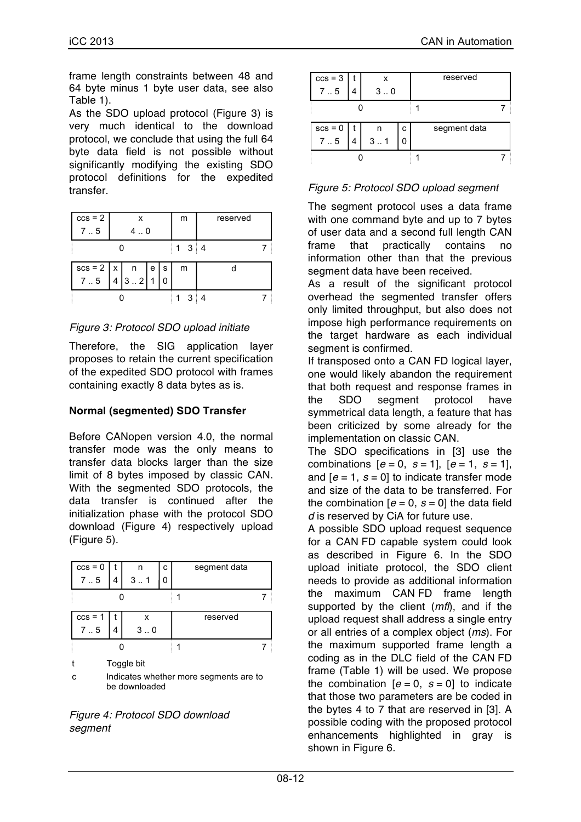frame length constraints between 48 and 64 byte minus 1 byte user data, see also Table 1).

As the SDO upload protocol (Figure 3) is very much identical to the download protocol, we conclude that using the full 64 byte data field is not possible without significantly modifying the existing SDO protocol definitions for the expedited transfer.

| $ccs = 2$ |                                                                                             | x |  |    | m                   | reserved |  |
|-----------|---------------------------------------------------------------------------------------------|---|--|----|---------------------|----------|--|
| 7.5       | 4.0                                                                                         |   |  |    |                     |          |  |
|           |                                                                                             |   |  |    | $1 \quad 3 \quad 4$ |          |  |
|           | $\begin{bmatrix} \n\text{scs} = 2 & x & n & e \\ 7 & 5 & 4 & 3 & 2 & 1\n\end{bmatrix}$<br>s |   |  |    | m                   |          |  |
|           |                                                                                             |   |  |    |                     |          |  |
|           |                                                                                             |   |  | -3 |                     |          |  |

## *Figure 3: Protocol SDO upload initiate*

Therefore, the SIG application layer proposes to retain the current specification of the expedited SDO protocol with frames containing exactly 8 data bytes as is.

## **Normal (segmented) SDO Transfer**

Before CANopen version 4.0, the normal transfer mode was the only means to transfer data blocks larger than the size limit of 8 bytes imposed by classic CAN. With the segmented SDO protocols, the data transfer is continued after the initialization phase with the protocol SDO download (Figure 4) respectively upload (Figure 5).

|                  | n                | с | segment data |  |
|------------------|------------------|---|--------------|--|
| $ccs = 0$<br>7.5 | $3 \dots 1$<br>0 |   |              |  |
|                  |                  |   |              |  |
| $ccs = 1$<br>75  | x                |   | reserved     |  |
|                  | 30               |   |              |  |
|                  |                  |   |              |  |
|                  | Toggle bit       |   |              |  |

c Indicates whether more segments are to be downloaded

*Figure 4: Protocol SDO download segment*

|                  | x            |   | reserved     |  |
|------------------|--------------|---|--------------|--|
| $ccs = 3$<br>75  | $3 \ldots 0$ |   |              |  |
|                  |              |   |              |  |
|                  | n            | с | segment data |  |
| $scs = 0$<br>7.5 | 3.1          |   |              |  |
|                  |              |   |              |  |

## *Figure 5: Protocol SDO upload segment*

The segment protocol uses a data frame with one command byte and up to 7 bytes of user data and a second full length CAN frame that practically contains no information other than that the previous segment data have been received.

As a result of the significant protocol overhead the segmented transfer offers only limited throughput, but also does not impose high performance requirements on the target hardware as each individual segment is confirmed.

If transposed onto a CAN FD logical layer, one would likely abandon the requirement that both request and response frames in the SDO segment protocol have symmetrical data length, a feature that has been criticized by some already for the implementation on classic CAN.

The SDO specifications in [3] use the combinations  $[e = 0, s = 1]$ ,  $[e = 1, s = 1]$ , and  $[e = 1, s = 0]$  to indicate transfer mode and size of the data to be transferred. For the combination  $[e = 0, s = 0]$  the data field *d* is reserved by CiA for future use.

A possible SDO upload request sequence for a CAN FD capable system could look as described in Figure 6. In the SDO upload initiate protocol, the SDO client needs to provide as additional information the maximum CAN FD frame length supported by the client (*mfl*), and if the upload request shall address a single entry or all entries of a complex object (*ms*). For the maximum supported frame length a coding as in the DLC field of the CAN FD frame (Table 1) will be used. We propose the combination  $[e = 0, s = 0]$  to indicate that those two parameters are be coded in the bytes 4 to 7 that are reserved in [3]. A possible coding with the proposed protocol enhancements highlighted in gray is shown in Figure 6.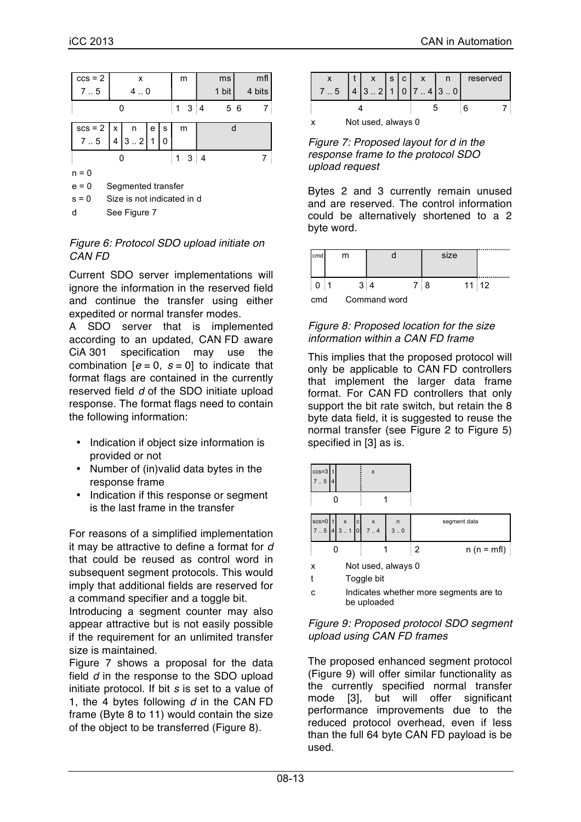|                 | X                                                                                                            |    |   |   |                    | ms    | mfl    |
|-----------------|--------------------------------------------------------------------------------------------------------------|----|---|---|--------------------|-------|--------|
| $ccs = 2$<br>75 | 4.0                                                                                                          |    |   |   |                    | 1 bit | 4 bits |
|                 | $1 \quad 3 \quad 4$                                                                                          | 56 |   |   |                    |       |        |
|                 |                                                                                                              |    | e | s | m                  |       |        |
|                 | $\begin{array}{c c}\n\text{scs} = 2 & x & n \\ \hline\n7 & .5 & 4 & 3\n\end{array}$<br> 3.2 <br>$\mathbf{1}$ |    |   |   |                    |       |        |
|                 |                                                                                                              |    |   |   | $1 \quad 3 \mid 4$ |       |        |
| $n = 0$         |                                                                                                              |    |   |   |                    |       |        |

n = 0

e = 0 Segmented transfer

s = 0 Size is not indicated in d

d See Figure 7

#### *Figure 6: Protocol SDO upload initiate on CAN FD*

Current SDO server implementations will ignore the information in the reserved field and continue the transfer using either expedited or normal transfer modes.

A SDO server that is implemented according to an updated, CAN FD aware CiA 301 specification may use the combination  $[e = 0, s = 0]$  to indicate that format flags are contained in the currently reserved field *d* of the SDO initiate upload response. The format flags need to contain the following information:

- Indication if object size information is provided or not
- Number of (in)valid data bytes in the response frame
- Indication if this response or segment is the last frame in the transfer

For reasons of a simplified implementation it may be attractive to define a format for *d* that could be reused as control word in subsequent segment protocols. This would imply that additional fields are reserved for a command specifier and a toggle bit.

Introducing a segment counter may also appear attractive but is not easily possible if the requirement for an unlimited transfer size is maintained.

Figure 7 shows a proposal for the data field *d* in the response to the SDO upload initiate protocol. If bit *s* is set to a value of 1, the 4 bytes following *d* in the CAN FD frame (Byte 8 to 11) would contain the size of the object to be transferred (Figure 8).

|     |                                              |  |  |  | $x \mid s \mid c \mid x$ | reserved |  |
|-----|----------------------------------------------|--|--|--|--------------------------|----------|--|
| 7.5 | $\vert 32 \vert 1 \vert 0 \vert 74 \vert 30$ |  |  |  |                          |          |  |
|     |                                              |  |  |  |                          |          |  |
|     | Not used, always 0                           |  |  |  |                          |          |  |

*Figure 7: Proposed layout for d in the response frame to the protocol SDO upload request*

Bytes 2 and 3 currently remain unused and are reserved. The control information could be alternatively shortened to a 2 byte word.

| cmd      |            |              |    | size |            |  |
|----------|------------|--------------|----|------|------------|--|
| <b>O</b> | $3 \mid 4$ |              | 78 |      | $11 \, 12$ |  |
| cmd      |            | Command word |    |      |            |  |

#### *Figure 8: Proposed location for the size information within a CAN FD frame*

This implies that the proposed protocol will only be applicable to CAN FD controllers that implement the larger data frame format. For CAN FD controllers that only support the bit rate switch, but retain the 8 byte data field, it is suggested to reuse the normal transfer (see Figure 2 to Figure 5) specified in [3] as is.

| $ccs=3$<br>$\therefore$ 5 |                                       |          | x                         |                    |                   |
|---------------------------|---------------------------------------|----------|---------------------------|--------------------|-------------------|
|                           |                                       |          |                           |                    |                   |
| $scs = 0$<br>7.5          | $\mathsf{x}$<br>3.1<br>$\overline{4}$ | c <br> 0 | $\pmb{\mathsf{x}}$<br>7.4 | $\mathsf{n}$<br>30 | segment data      |
|                           |                                       |          |                           |                    | $n(n = mfl)$<br>2 |
| х                         |                                       |          |                           | Not used, always 0 |                   |
|                           |                                       |          | Toggle bit                |                    |                   |

c Indicates whether more segments are to be uploaded

#### *Figure 9: Proposed protocol SDO segment upload using CAN FD frames*

The proposed enhanced segment protocol (Figure 9) will offer similar functionality as the currently specified normal transfer mode [3], but will offer significant performance improvements due to the reduced protocol overhead, even if less than the full 64 byte CAN FD payload is be used.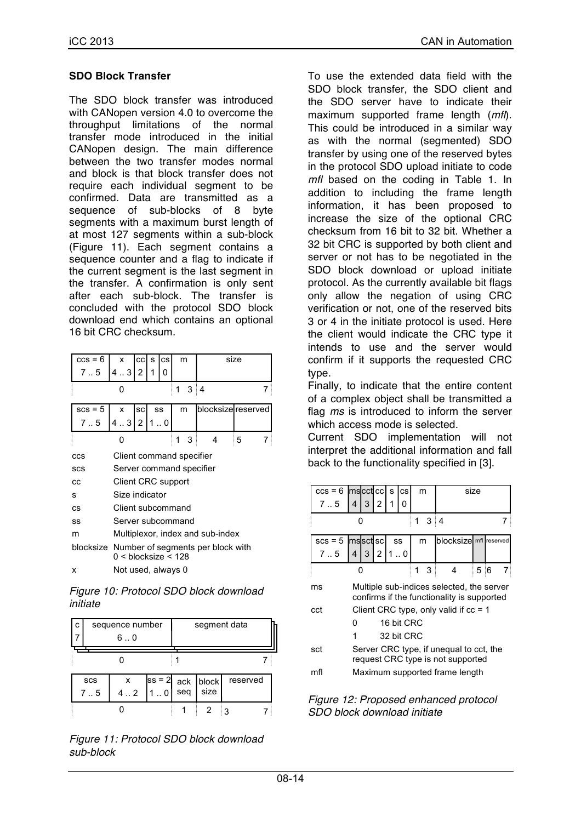### **SDO Block Transfer**

The SDO block transfer was introduced with CANopen version 4.0 to overcome the throughput limitations of the normal transfer mode introduced in the initial CANopen design. The main difference between the two transfer modes normal and block is that block transfer does not require each individual segment to be confirmed. Data are transmitted as a sequence of sub-blocks of 8 byte segments with a maximum burst length of at most 127 segments within a sub-block (Figure 11). Each segment contains a sequence counter and a flag to indicate if the current segment is the last segment in the transfer. A confirmation is only sent after each sub-block. The transfer is concluded with the protocol SDO block download end which contains an optional 16 bit CRC checksum.

| $ccs = 6$ | x                                                                      | cс                       | s | <b>CS</b> | m      |  | size               |   |  |
|-----------|------------------------------------------------------------------------|--------------------------|---|-----------|--------|--|--------------------|---|--|
| 7.5       | 4.3                                                                    | 2                        | 1 | 0         |        |  |                    |   |  |
|           | 0                                                                      |                          |   |           | 3<br>1 |  | i 4                |   |  |
| $scs = 5$ | x                                                                      | scl                      |   | SS        | m      |  | blocksize reserved |   |  |
| 7.5       | 43                                                                     | 2                        | 1 | 0         |        |  |                    |   |  |
|           | 0                                                                      |                          |   |           | 1<br>3 |  | 4                  | 5 |  |
| CCS       | Client command specifier                                               |                          |   |           |        |  |                    |   |  |
| SCS       |                                                                        | Server command specifier |   |           |        |  |                    |   |  |
| СC        |                                                                        | Client CRC support       |   |           |        |  |                    |   |  |
| s         |                                                                        | Size indicator           |   |           |        |  |                    |   |  |
| СS        |                                                                        | Client subcommand        |   |           |        |  |                    |   |  |
| SS        | Server subcommand                                                      |                          |   |           |        |  |                    |   |  |
| m         | Multiplexor, index and sub-index                                       |                          |   |           |        |  |                    |   |  |
|           | blocksize Number of segments per block with<br>$0 <$ hlocksize $<$ 128 |                          |   |           |        |  |                    |   |  |
| x         | Not used, always 0                                                     |                          |   |           |        |  |                    |   |  |

*Figure 10: Protocol SDO block download initiate*

| sequence number<br>c<br>$6 \dots 0$ |            |                                            |                          | segment data |      |          |  |
|-------------------------------------|------------|--------------------------------------------|--------------------------|--------------|------|----------|--|
|                                     |            |                                            |                          |              |      |          |  |
|                                     | <b>SCS</b> | $\begin{array}{c} x \\ 4 \\ 2 \end{array}$ | $ ss = 2 $ ack $ block $ |              |      | reserved |  |
|                                     | 7.5        |                                            | 1.0                      | seq          | size |          |  |
|                                     |            |                                            |                          |              |      |          |  |

*Figure 11: Protocol SDO block download sub-block*

To use the extended data field with the SDO block transfer, the SDO client and the SDO server have to indicate their maximum supported frame length (*mfl*). This could be introduced in a similar way as with the normal (segmented) SDO transfer by using one of the reserved bytes in the protocol SDO upload initiate to code *mfl* based on the coding in Table 1. In addition to including the frame length information, it has been proposed to increase the size of the optional CRC checksum from 16 bit to 32 bit. Whether a 32 bit CRC is supported by both client and server or not has to be negotiated in the SDO block download or upload initiate protocol. As the currently available bit flags only allow the negation of using CRC verification or not, one of the reserved bits 3 or 4 in the initiate protocol is used. Here the client would indicate the CRC type it intends to use and the server would confirm if it supports the requested CRC type.

Finally, to indicate that the entire content of a complex object shall be transmitted a flag *ms* is introduced to inform the server which access mode is selected.

Current SDO implementation will not interpret the additional information and fall back to the functionality specified in [3].

| $ccs = 6$  ms  $cc$ t  $cc$                                                                   |                                                                              |   |   | s. | Ics         | m                                       |   | size                   |    |  |  |
|-----------------------------------------------------------------------------------------------|------------------------------------------------------------------------------|---|---|----|-------------|-----------------------------------------|---|------------------------|----|--|--|
| 7.5                                                                                           | 4                                                                            | 3 | 2 | 1  | 0           |                                         |   |                        |    |  |  |
|                                                                                               |                                                                              |   |   | 1  | 3           | ∶ 4                                     |   |                        |    |  |  |
| $sc s = 5$                                                                                    | lmslsctl scl                                                                 |   |   |    | SS          |                                         | m | blocksize mfl reserved |    |  |  |
| 7.5                                                                                           | 4                                                                            | 3 | 2 |    | $1 \dots 0$ |                                         |   |                        |    |  |  |
|                                                                                               | n                                                                            |   |   |    |             | 1                                       | 3 | 4                      | 56 |  |  |
| Multiple sub-indices selected, the server<br>ms<br>confirms if the functionality is supported |                                                                              |   |   |    |             |                                         |   |                        |    |  |  |
| cct                                                                                           |                                                                              |   |   |    |             | Client CRC type, only valid if $cc = 1$ |   |                        |    |  |  |
|                                                                                               | 16 bit CRC<br>ŋ                                                              |   |   |    |             |                                         |   |                        |    |  |  |
|                                                                                               | 32 bit CRC                                                                   |   |   |    |             |                                         |   |                        |    |  |  |
| sct                                                                                           | Server CRC type, if unequal to cct, the<br>request CRC type is not supported |   |   |    |             |                                         |   |                        |    |  |  |
| mfl                                                                                           | Maximum supported frame length                                               |   |   |    |             |                                         |   |                        |    |  |  |

*Figure 12: Proposed enhanced protocol SDO block download initiate*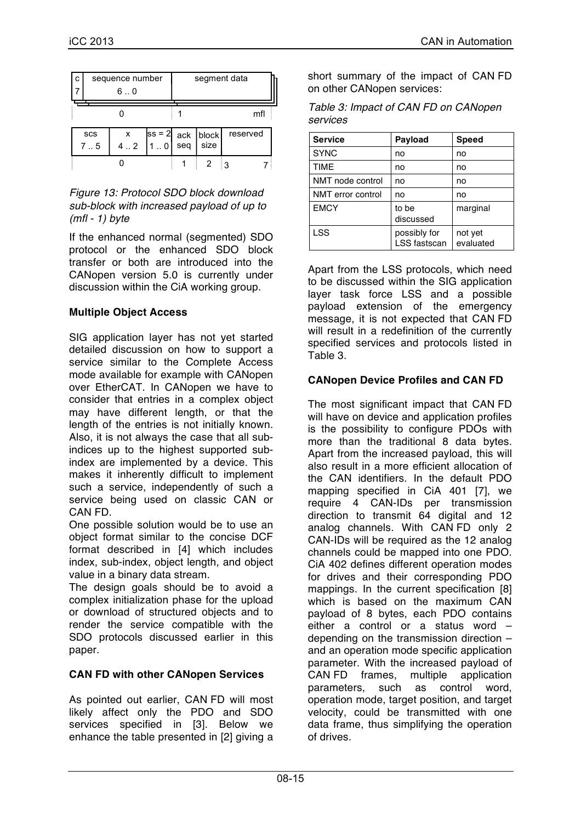| sequence number<br>C<br>6.0 |            |     |                          | segment data |                   |          |  |
|-----------------------------|------------|-----|--------------------------|--------------|-------------------|----------|--|
|                             |            |     |                          |              |                   | mfl      |  |
|                             | SCS<br>7.5 | 4.2 | $\textsf{ss} = 2$<br>110 | seq          | ack block<br>size | reserved |  |
|                             |            |     |                          |              |                   |          |  |

### *Figure 13: Protocol SDO block download sub-block with increased payload of up to (mfl - 1) byte*

If the enhanced normal (segmented) SDO protocol or the enhanced SDO block transfer or both are introduced into the CANopen version 5.0 is currently under discussion within the CiA working group.

## **Multiple Object Access**

SIG application layer has not yet started detailed discussion on how to support a service similar to the Complete Access mode available for example with CANopen over EtherCAT. In CANopen we have to consider that entries in a complex object may have different length, or that the length of the entries is not initially known. Also, it is not always the case that all subindices up to the highest supported subindex are implemented by a device. This makes it inherently difficult to implement such a service, independently of such a service being used on classic CAN or CAN FD.

One possible solution would be to use an object format similar to the concise DCF format described in [4] which includes index, sub-index, object length, and object value in a binary data stream.

The design goals should be to avoid a complex initialization phase for the upload or download of structured objects and to render the service compatible with the SDO protocols discussed earlier in this paper.

## **CAN FD with other CANopen Services**

As pointed out earlier, CAN FD will most likely affect only the PDO and SDO services specified in [3]. Below we enhance the table presented in [2] giving a

short summary of the impact of CAN FD on other CANopen services:

| Table 3: Impact of CAN FD on CANopen |  |
|--------------------------------------|--|
| services                             |  |

| <b>Service</b>    | Payload                             | <b>Speed</b>         |
|-------------------|-------------------------------------|----------------------|
| <b>SYNC</b>       | no                                  | no                   |
| <b>TIME</b>       | no                                  | no                   |
| NMT node control  | no                                  | no                   |
| NMT error control | no                                  | no                   |
| <b>EMCY</b>       | to be<br>discussed                  | marginal             |
| LSS               | possibly for<br><b>LSS</b> fastscan | not yet<br>evaluated |

Apart from the LSS protocols, which need to be discussed within the SIG application layer task force LSS and a possible payload extension of the emergency message, it is not expected that CAN FD will result in a redefinition of the currently specified services and protocols listed in Table 3.

## **CANopen Device Profiles and CAN FD**

The most significant impact that CAN FD will have on device and application profiles is the possibility to configure PDOs with more than the traditional 8 data bytes. Apart from the increased payload, this will also result in a more efficient allocation of the CAN identifiers. In the default PDO mapping specified in CiA 401 [7], we require 4 CAN-IDs per transmission direction to transmit 64 digital and 12 analog channels. With CAN FD only 2 CAN-IDs will be required as the 12 analog channels could be mapped into one PDO. CiA 402 defines different operation modes for drives and their corresponding PDO mappings. In the current specification [8] which is based on the maximum CAN payload of 8 bytes, each PDO contains either a control or a status word – depending on the transmission direction – and an operation mode specific application parameter. With the increased payload of CAN FD frames, multiple application parameters, such as control word, operation mode, target position, and target velocity, could be transmitted with one data frame, thus simplifying the operation of drives.